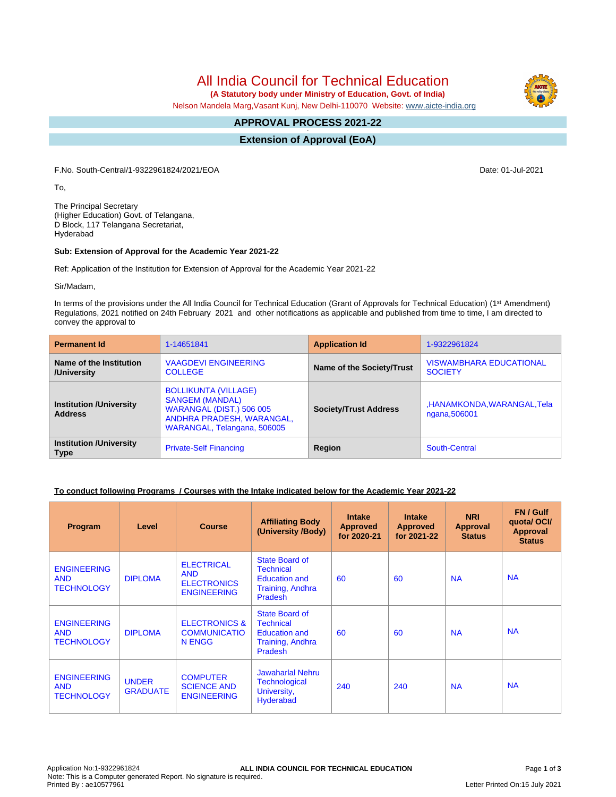All India Council for Technical Education

 **(A Statutory body under Ministry of Education, Govt. of India)**

Nelson Mandela Marg,Vasant Kunj, New Delhi-110070 Website: [www.aicte-india.org](http://www.aicte-india.org)

#### **APPROVAL PROCESS 2021-22 -**

**Extension of Approval (EoA)**

F.No. South-Central/1-9322961824/2021/EOA Date: 01-Jul-2021

To,

The Principal Secretary (Higher Education) Govt. of Telangana, D Block, 117 Telangana Secretariat, Hyderabad

### **Sub: Extension of Approval for the Academic Year 2021-22**

Ref: Application of the Institution for Extension of Approval for the Academic Year 2021-22

Sir/Madam,

In terms of the provisions under the All India Council for Technical Education (Grant of Approvals for Technical Education) (1<sup>st</sup> Amendment) Regulations, 2021 notified on 24th February 2021 and other notifications as applicable and published from time to time, I am directed to convey the approval to

| <b>Permanent Id</b>                              | 1-14651841                                                                                                                                           | <b>Application Id</b>        | 1-9322961824                                     |  |
|--------------------------------------------------|------------------------------------------------------------------------------------------------------------------------------------------------------|------------------------------|--------------------------------------------------|--|
| Name of the Institution<br>/University           | <b>VAAGDEVI ENGINEERING</b><br><b>COLLEGE</b>                                                                                                        | Name of the Society/Trust    | <b>VISWAMBHARA EDUCATIONAL</b><br><b>SOCIETY</b> |  |
| <b>Institution /University</b><br><b>Address</b> | <b>BOLLIKUNTA (VILLAGE)</b><br><b>SANGEM (MANDAL)</b><br><b>WARANGAL (DIST.) 506 005</b><br>ANDHRA PRADESH, WARANGAL,<br>WARANGAL, Telangana, 506005 | <b>Society/Trust Address</b> | ,HANAMKONDA,WARANGAL,Tela<br>ngana, 506001       |  |
| <b>Institution /University</b><br><b>Type</b>    | <b>Private-Self Financing</b>                                                                                                                        | Region                       | South-Central                                    |  |

# **To conduct following Programs / Courses with the Intake indicated below for the Academic Year 2021-22**

| Program                                               | Level                           | <b>Course</b>                                                               | <b>Affiliating Body</b><br>(University /Body)                                                    | <b>Intake</b><br><b>Approved</b><br>for 2020-21 | <b>Intake</b><br><b>Approved</b><br>for 2021-22 | <b>NRI</b><br>Approval<br><b>Status</b> | FN / Gulf<br>quotal OCI/<br><b>Approval</b><br><b>Status</b> |
|-------------------------------------------------------|---------------------------------|-----------------------------------------------------------------------------|--------------------------------------------------------------------------------------------------|-------------------------------------------------|-------------------------------------------------|-----------------------------------------|--------------------------------------------------------------|
| <b>ENGINEERING</b><br><b>AND</b><br><b>TECHNOLOGY</b> | <b>DIPLOMA</b>                  | <b>ELECTRICAL</b><br><b>AND</b><br><b>ELECTRONICS</b><br><b>ENGINEERING</b> | State Board of<br><b>Technical</b><br>Education and<br><b>Training, Andhra</b><br><b>Pradesh</b> | 60                                              | 60                                              | <b>NA</b>                               | <b>NA</b>                                                    |
| <b>ENGINEERING</b><br><b>AND</b><br><b>TECHNOLOGY</b> | <b>DIPLOMA</b>                  | <b>ELECTRONICS &amp;</b><br><b>COMMUNICATIO</b><br>N ENGG                   | State Board of<br>Technical<br><b>Education and</b><br>Training, Andhra<br><b>Pradesh</b>        | 60                                              | 60                                              | <b>NA</b>                               | <b>NA</b>                                                    |
| <b>ENGINEERING</b><br><b>AND</b><br><b>TECHNOLOGY</b> | <b>UNDER</b><br><b>GRADUATE</b> | <b>COMPUTER</b><br><b>SCIENCE AND</b><br><b>ENGINEERING</b>                 | <b>Jawaharlal Nehru</b><br><b>Technological</b><br>University,<br><b>Hyderabad</b>               | 240                                             | 240                                             | <b>NA</b>                               | <b>NA</b>                                                    |

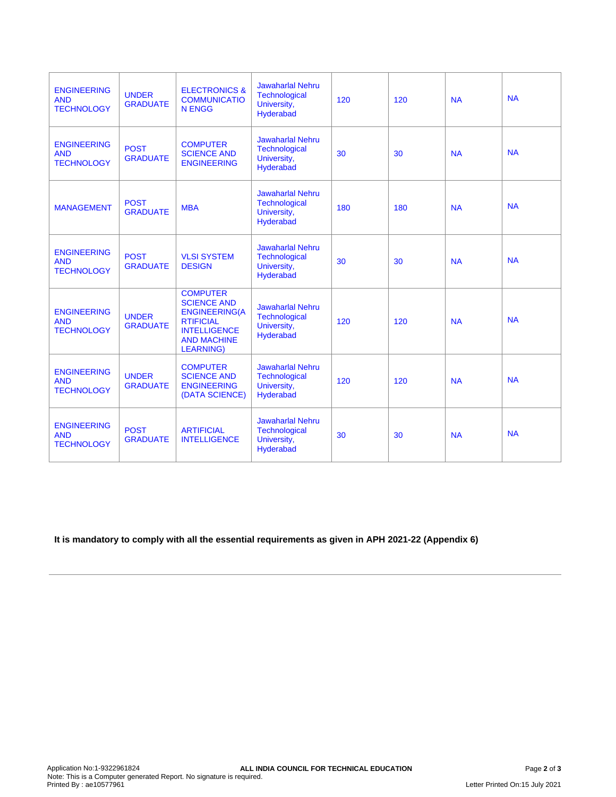| <b>ENGINEERING</b><br><b>AND</b><br><b>TECHNOLOGY</b> | <b>UNDER</b><br><b>GRADUATE</b> | <b>ELECTRONICS &amp;</b><br><b>COMMUNICATIO</b><br><b>N ENGG</b>                                                                                   | <b>Jawaharlal Nehru</b><br><b>Technological</b><br>University,<br>Hyderabad | 120 | 120 | <b>NA</b> | <b>NA</b> |
|-------------------------------------------------------|---------------------------------|----------------------------------------------------------------------------------------------------------------------------------------------------|-----------------------------------------------------------------------------|-----|-----|-----------|-----------|
| <b>ENGINEERING</b><br><b>AND</b><br><b>TECHNOLOGY</b> | <b>POST</b><br><b>GRADUATE</b>  | <b>COMPUTER</b><br><b>SCIENCE AND</b><br><b>ENGINEERING</b>                                                                                        | <b>Jawaharlal Nehru</b><br><b>Technological</b><br>University,<br>Hyderabad | 30  | 30  | <b>NA</b> | <b>NA</b> |
| <b>MANAGEMENT</b>                                     | <b>POST</b><br><b>GRADUATE</b>  | <b>MBA</b>                                                                                                                                         | <b>Jawaharlal Nehru</b><br><b>Technological</b><br>University,<br>Hyderabad | 180 | 180 | <b>NA</b> | <b>NA</b> |
| <b>ENGINEERING</b><br><b>AND</b><br><b>TECHNOLOGY</b> | <b>POST</b><br><b>GRADUATE</b>  | <b>VLSI SYSTEM</b><br><b>DESIGN</b>                                                                                                                | Jawaharlal Nehru<br><b>Technological</b><br>University,<br>Hyderabad        | 30  | 30  | <b>NA</b> | <b>NA</b> |
| <b>ENGINEERING</b><br><b>AND</b><br><b>TECHNOLOGY</b> | <b>UNDER</b><br><b>GRADUATE</b> | <b>COMPUTER</b><br><b>SCIENCE AND</b><br><b>ENGINEERING(A</b><br><b>RTIFICIAL</b><br><b>INTELLIGENCE</b><br><b>AND MACHINE</b><br><b>LEARNING)</b> | <b>Jawaharlal Nehru</b><br><b>Technological</b><br>University,<br>Hyderabad | 120 | 120 | <b>NA</b> | <b>NA</b> |
| <b>ENGINEERING</b><br><b>AND</b><br><b>TECHNOLOGY</b> | <b>UNDER</b><br><b>GRADUATE</b> | <b>COMPUTER</b><br><b>SCIENCE AND</b><br><b>ENGINEERING</b><br>(DATA SCIENCE)                                                                      | <b>Jawaharlal Nehru</b><br><b>Technological</b><br>University,<br>Hyderabad | 120 | 120 | <b>NA</b> | <b>NA</b> |
| <b>ENGINEERING</b><br><b>AND</b><br><b>TECHNOLOGY</b> | <b>POST</b><br><b>GRADUATE</b>  | <b>ARTIFICIAL</b><br><b>INTELLIGENCE</b>                                                                                                           | <b>Jawaharlal Nehru</b><br><b>Technological</b><br>University,<br>Hyderabad | 30  | 30  | <b>NA</b> | <b>NA</b> |

# **It is mandatory to comply with all the essential requirements as given in APH 2021-22 (Appendix 6)**